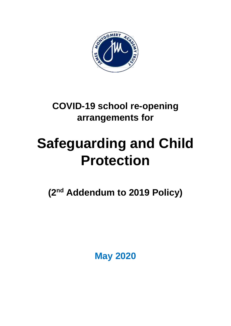

# **COVID-19 school re-opening arrangements for**

# **Safeguarding and Child Protection**

**(2 nd Addendum to 2019 Policy)**

**May 2020**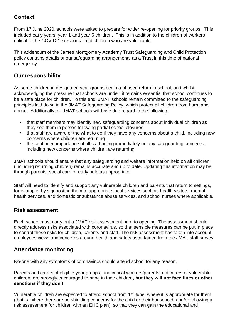# **Context**

From 1<sup>st</sup> June 2020, schools were asked to prepare for wider re-opening for priority groups. This included early years, year 1 and year 6 children. This is in addition to the children of workers critical to the COVID-19 response and children who are vulnerable.

This addendum of the James Montgomery Academy Trust Safeguarding and Child Protection policy contains details of our safeguarding arrangements as a Trust in this time of national emergency.

# **Our responsibility**

As some children in designated year groups begin a phased return to school, and whilst acknowledging the pressure that schools are under, it remains essential that school continues to be a safe place for children. To this end, JMAT schools remain committed to the safeguarding principles laid down in the JMAT Safeguarding Policy, which protect all children from harm and abuse. Additionally, all JMAT schools will have due regard to the following:

- that staff members may identify new safeguarding concerns about individual children as they see them in person following partial school closures
- that staff are aware of the what to do if they have any concerns about a child, including new concerns where children are returning
- the continued importance of all staff acting immediately on any safeguarding concerns, including new concerns where children are returning

JMAT schools should ensure that any safeguarding and welfare information held on all children (including returning children) remains accurate and up to date. Updating this information may be through parents, social care or early help as appropriate.

Staff will need to identify and support any vulnerable children and parents that return to settings, for example, by signposting them to appropriate local services such as health visitors, mental health services, and domestic or substance abuse services, and school nurses where applicable.

# **Risk assessment**

Each school must carry out a JMAT risk assessment prior to opening. The assessment should directly address risks associated with coronavirus, so that sensible measures can be put in place to control those risks for children, parents and staff. The risk assessment has taken into account employees views and concerns around health and safety ascertained from the JMAT staff survey.

# **Attendance monitoring**

No-one with any symptoms of coronavirus should attend school for any reason.

Parents and carers of eligible year groups, and critical workers/parents and carers of vulnerable children, are strongly encouraged to bring in their children, **but they will not face fines or [other](https://www.gov.uk/government/publications/actions-for-educational-and-childcare-settings-to-prepare-for-wider-opening-from-1-june-2020) [sanctions](https://www.gov.uk/government/publications/actions-for-educational-and-childcare-settings-to-prepare-for-wider-opening-from-1-june-2020) if they don't.**

Vulnerable children are expected to attend school from 1st June, where it is appropriate for them (that is, where there are no shielding concerns for the child or their household, and/or following a risk assessment for children with an EHC plan), so that they can gain the educational and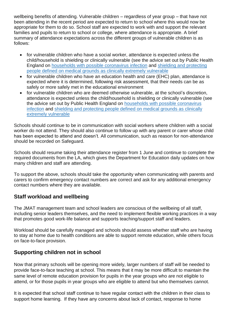wellbeing benefits of attending. Vulnerable children – regardless of year group – that have not been attending in the recent period are expected to return to school where this would now be appropriate for them to do so. School staff are expected to work with and support the relevant families and pupils to return to school or college, where attendance is appropriate. A brief summary of attendance expectations across the different groups of vulnerable children is as follows:

- for vulnerable children who have a social worker, attendance is expected unless the child/household is shielding or clinically vulnerable (see the advice set out by Public Health England on [households](https://www.gov.uk/government/publications/covid-19-stay-at-home-guidance) with possible coronavirus infection and shielding and [protecting](https://www.gov.uk/government/publications/guidance-on-shielding-and-protecting-extremely-vulnerable-persons-from-covid-19) people defined on medical grounds as clinically extremely [vulnerable](https://www.gov.uk/government/publications/guidance-on-shielding-and-protecting-extremely-vulnerable-persons-from-covid-19)
- for vulnerable children who have an education health and care (EHC) plan, attendance is expected where it is determined, following risk [assessment,](https://www.gov.uk/government/publications/coronavirus-covid-19-send-risk-assessment-guidance/coronavirus-covid-19-send-risk-assessment-guidance) that their needs can be as safely or more safely met in the educational environment
- for vulnerable children who are deemed otherwise vulnerable, at the school's discretion, attendance is expected unless the child/household is shielding or clinically vulnerable (see the advice set out by Public Health England on [households](https://www.gov.uk/government/publications/covid-19-stay-at-home-guidance) with possible coronavirus [infection](https://www.gov.uk/government/publications/covid-19-stay-at-home-guidance) and shielding and [protecting](https://www.gov.uk/government/publications/guidance-on-shielding-and-protecting-extremely-vulnerable-persons-from-covid-19) people defined on medical grounds as clinically extremely [vulnerable](https://www.gov.uk/government/publications/guidance-on-shielding-and-protecting-extremely-vulnerable-persons-from-covid-19)

Schools should continue to be in communication with social workers where children with a social worker do not attend. They should also continue to follow up with any parent or carer whose child has been expected to attend and doesn't. All communication, such as reason for non-attendance should be recorded on Safeguard.

Schools should resume taking their attendance register from 1 June and continue to complete the required documents from the LA, which gives the Department for Education daily updates on how many children and staff are attending.

To support the above, schools should take the opportunity when communicating with parents and carers to confirm emergency contact numbers are correct and ask for any additional emergency contact numbers where they are available.

# **Staff workload and wellbeing**

The JMAT management team and school leaders are conscious of the wellbeing of all staff, including senior leaders themselves, and the need to implement flexible working practices in a way that promotes good work-life balance and supports teaching/support staff and leaders.

Workload should be carefully managed and schools should assess whether staff who are having to stay at home due to health conditions are able to support remote education, while others focus on face-to-face provision.

# **Supporting children not in school**

Now that primary schools will be opening more widely, larger numbers of staff will be needed to provide face-to-face teaching at school. This means that it may be more difficult to maintain the same level of remote education provision for pupils in the year groups who are not eligible to attend, or for those pupils in year groups who are eligible to attend but who themselves cannot.

It is expected that school staff continue to have regular contact with the children in their class to support home learning. If they have any concerns about lack of contact, response to home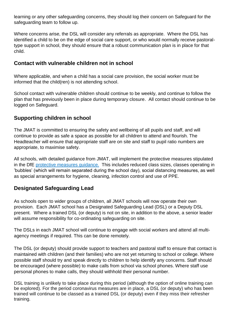learning or any other safeguarding concerns, they should log their concern on Safeguard for the safeguarding team to follow up.

Where concerns arise, the DSL will consider any referrals as appropriate. Where the DSL has identified a child to be on the edge of social care support, or who would normally receive pastoraltype support in school, they should ensure that a robust communication plan is in place for that child.

# **Contact with vulnerable children not in school**

Where applicable, and when a child has a social care provision, the social worker must be informed that the child(ren) is not attending school.

School contact with vulnerable children should continue to be weekly, and continue to follow the plan that has previously been in place during temporary closure. All contact should continue to be logged on Safeguard.

# **Supporting children in school**

The JMAT is committed to ensuring the safety and wellbeing of all pupils and staff, and will continue to provide as safe a space as possible for all children to attend and flourish. The Headteacher will ensure that appropriate staff are on site and staff to pupil ratio numbers are appropriate, to maximise safety.

All schools, with detailed guidance from JMAT, will implement the protective measures stipulated in the DfE protective measures guidance. This includes reduced class sizes, classes operating in 'bubbles' (which will remain separated during the school day), social distancing measures, as well as special arrangements for hygiene, cleaning, infection control and use of PPE.

# **Designated Safeguarding Lead**

As schools open to wider groups of children, all JMAT schools will now operate their own provision. Each JMAT school has a Designated Safeguarding Lead (DSL) or a Deputy DSL present.Where a trained DSL (or deputy) is not on site, in addition to the above, a senior leader will assume responsibility for co-ordinating safeguarding on site.

The DSLs in each JMAT school will continue to engage with social workers and attend all multiagency meetings if required. This can be done remotely.

The DSL (or deputy) should provide support to teachers and pastoral staff to ensure that contact is maintained with children (and their families) who are not yet returning to school or college. Where possible staff should try and speak directly to children to help identify any concerns. Staff should be encouraged (where possible) to make calls from school via school phones. Where staff use personal phones to make calls, they should withhold their personal number.

DSL training is unlikely to take place during this period (although the option of online training can be explored). For the period coronavirus measures are in place, a DSL (or deputy) who has been trained will continue to be classed as a trained DSL (or deputy) even if they miss their refresher training.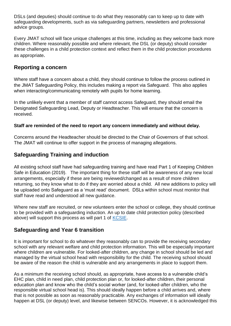DSLs (and deputies) should continue to do what they reasonably can to keep up to date with safeguarding developments, such as via safeguarding partners, newsletters and professional advice groups.

Every JMAT school will face unique challenges at this time, including as they welcome back more children. Where reasonably possible and where relevant, the DSL (or deputy) should consider these challenges in a child protection context and reflect them in the child protection procedures as appropriate.

## **Reporting a concern**

Where staff have a concern about a child, they should continue to follow the process outlined in the JMAT Safeguarding Policy, this includes making a report via Safeguard. This also applies when interacting/communicating remotely with pupils for home learning.

In the unlikely event that a member of staff cannot access Safeguard, they should email the Designated Safeguarding Lead, Deputy or Headteacher. This will ensure that the concern is received.

#### **Staff are reminded of the need to report any concern immediately and without delay.**

Concerns around the Headteacher should be directed to the Chair of Governors of that school. The JMAT will continue to offer support in the process of managing allegations.

# **Safeguarding Training and induction**

All existing school staff have had safeguarding training and have read Part 1 of Keeping Children Safe in Education (2019). The important thing for these staff will be awareness of any new local arrangements, especially if these are being reviewed/changed as a result of more children returning, so they know what to do if they are worried about a child. All new additions to policy will be uploaded onto Safeguard as a 'must read' document. DSLs within school must monitor that staff have read and understood all new guidance.

Where new staff are recruited, or new volunteers enter the school or college, they should continue to be provided with a safeguarding induction. An up to date child protection policy (described above) will support this process as will part 1 of [KCSIE.](https://www.gov.uk/government/publications/keeping-children-safe-in-education--2)

# **Safeguarding and Year 6 transition**

It is important for school to do whatever they reasonably can to provide the receiving secondary school with any relevant welfare and child protection information. This will be especially important where children are vulnerable. For looked-after children, any change in school should be led and managed by the virtual school head with responsibility for the child. The receiving school should be aware of the reason the child is vulnerable and any arrangements in place to support them.

As a minimum the receiving school should, as appropriate, have access to a vulnerable child's EHC plan, child in need plan, child protection plan or, for looked-after children, their personal education plan and know who the child's social worker (and, for looked-after children, who the responsible virtual school head is). This should ideally happen before a child arrives and, where that is not possible as soon as reasonably practicable. Any exchanges of information will ideally happen at DSL (or deputy) level, and likewise between SENCOs. However, it is acknowledged this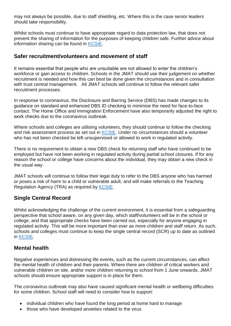may not always be possible, due to staff shielding, etc. Where this is the case senior leaders should take responsibility.

Whilst schools must continue to have appropriate regard to data protection law, that does not prevent the sharing of information for the purposes of keeping children safe. Further advice about information sharing can be found in [KCSIE.](https://www.gov.uk/government/publications/keeping-children-safe-in-education--2)

## **Safer recruitment/volunteers and movement of staff**

It remains essential that people who are unsuitable are not allowed to enter the children's workforce or gain access to children. Schools in the JMAT should use their judgement on whether recruitment is needed and how this can best be done given the circumstances and in consultation with trust central management. All JMAT schools will continue to follow the relevant safer recruitment processes.

In response to coronavirus, the Disclosure and Barring Service (DBS) has made changes to its guidance on standard and [enhanced](https://www.gov.uk/government/news/covid-19-changes-to-dbs-id-checking-guidelines) DBS ID checking to minimise the need for face-to-face contact. The Home Office and Immigration Enforcement have also temporarily adjusted the [right](https://www.gov.uk/guidance/coronavirus-covid-19-right-to-work-checks) to work [checks](https://www.gov.uk/guidance/coronavirus-covid-19-right-to-work-checks) due to the coronavirus outbreak.

Where schools and colleges are utilising volunteers, they should continue to follow the checking and risk assessment process as set out in [KCSIE.](https://www.gov.uk/government/publications/keeping-children-safe-in-education--2) Under no circumstances should a volunteer who has not been checked be left unsupervised or allowed to work in regulated activity.

There is no requirement to obtain a new DBS check for returning staff who have continued to be employed but have not been working in regulated activity during partial school closures. If for any reason the school or college have concerns about the individual, they may obtain a new check in the usual way.

JMAT schools will continue to follow their legal duty to refer to the DBS anyone who has harmed or poses a risk of harm to a child or vulnerable adult, and will make referrals to the Teaching Regulation Agency (TRA) as required by [KCSIE.](https://www.gov.uk/government/publications/keeping-children-safe-in-education--2)

# **Single Central Record**

Whilst acknowledging the challenge of the current environment, it is essential from a safeguarding perspective that school aware, on any given day, which staff/volunteers will be in the school or college, and that appropriate checks have been carried out, especially for anyone engaging in regulated activity. This will be more important than ever as more children and staff return. As such, schools and colleges must continue to keep the single central record (SCR) up to date as outlined in [KCSIE.](https://www.gov.uk/government/publications/keeping-children-safe-in-education--2)

# **Mental health**

Negative experiences and distressing life events, such as the current circumstances, can affect the mental health of children and their parents. Where there are children of critical workers and vulnerable children on site, and/or more children returning to school from 1 June onwards, JMAT schools should ensure appropriate support is in place for them.

The coronavirus outbreak may also have caused significant mental health or wellbeing difficulties for some children. School staff will need to consider how to support:

- individual children who have found the long period at home hard to manage
- those who have developed anxieties related to the virus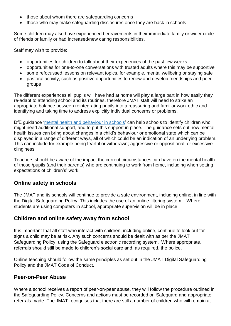- those about whom there are safeguarding concerns
- those who may make safeguarding disclosures once they are back in schools

Some children may also have experienced bereavements in their immediate family or wider circle of friends or family or had increased/new caring responsibilities.

Staff may wish to provide:

- opportunities for children to talk about their experiences of the past few weeks
- opportunities for one-to-one conversations with trusted adults where this may be supportive
- some refocussed lessons on relevant topics, for example, mental wellbeing or staying safe
- pastoral activity, such as positive opportunities to renew and develop friendships and peer groups

The different experiences all pupils will have had at home will play a large part in how easily they re-adapt to attending school and its routines, therefore JMAT staff will need to strike an appropriate balance between reintegrating pupils into a reassuring and familiar work ethic and identifying and taking time to address explicitly individual concerns or problems.

DfE guidance 'mental health and [behaviour](https://www.gov.uk/government/publications/mental-health-and-behaviour-in-schools--2) in schools' can help schools to identify children who might need additional support, and to put this support in place. The guidance sets out how mental health issues can bring about changes in a child's behaviour or emotional state which can be displayed in a range of different ways, all of which could be an indication of an underlying problem. This can include for example being fearful or withdrawn; aggressive or oppositional; or excessive clinginess.

Teachers should be aware of the impact the current circumstances can have on the mental health of those /pupils (and their parents) who are continuing to work from home, including when setting expectations of children's' work.

# **Online safety in schools**

The JMAT and its schools will continue to provide a safe environment, including online, in line with the Digital Safeguarding Policy. This includes the use of an online filtering system. Where students are using computers in school, appropriate supervision will be in place.

#### **Children and online safety away from school**

It is important that all staff who interact with children, including online, continue to look out for signs a child may be at risk. Any such concerns should be dealt with as per the JMAT Safeguarding Policy, using the Safeguard electronic recording system. Where appropriate, referrals should still be made to children's social care and, as required, the police.

Online teaching should follow the same principles as set out in the JMAT Digital Safeguarding Policy and the JMAT Code of Conduct.

#### **Peer-on-Peer Abuse**

Where a school receives a report of peer-on-peer abuse, they will follow the procedure outlined in the Safeguarding Policy. Concerns and actions must be recorded on Safeguard and appropriate referrals made. The JMAT recognises that there are still a number of children who will remain at